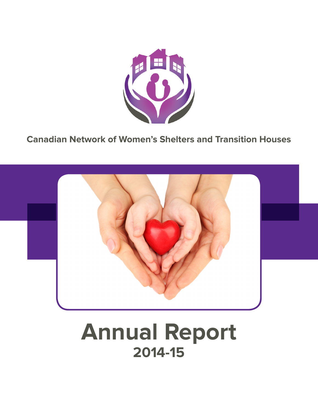

**Canadian Network of Women's Shelters and Transition Houses**



# **Annual Report 2014-15**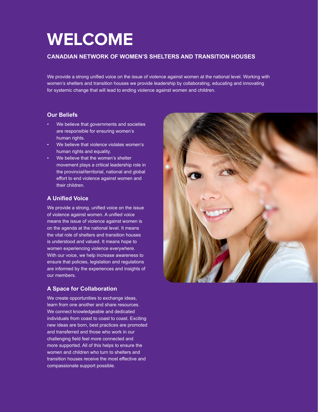# **WELCOME**

### **CANADIAN NETWORK OF WOMEN'S SHELTERS AND TRANSITION HOUSES**

We provide a strong unified voice on the issue of violence against women at the national level. Working with women's shelters and transition houses we provide leadership by collaborating, educating and innovating for systemic change that will lead to ending violence against women and children.

### **Our Beliefs**

- We believe that governments and societies are responsible for ensuring women's human rights.
- We believe that violence violates women's human rights and equality.
- We believe that the women's shelter movement plays a critical leadership role in the provincial/territorial, national and global effort to end violence against women and their children.

## **A Unified Voice**

We provide a strong, unified voice on the issue of violence against women. A unified voice means the issue of violence against women is on the agenda at the national level. It means the vital role of shelters and transition houses is understood and valued. It means hope to women experiencing violence everywhere. With our voice, we help increase awareness to ensure that policies, legislation and regulations are informed by the experiences and insights of our members.

## **A Space for Collaboration**

We create opportunities to exchange ideas, learn from one another and share resources. We connect knowledgeable and dedicated individuals from coast to coast to coast. Exciting new ideas are born, best practices are promoted and transferred and those who work in our challenging field feel more connected and more supported. All of this helps to ensure the women and children who turn to shelters and transition houses receive the most effective and compassionate support possible.

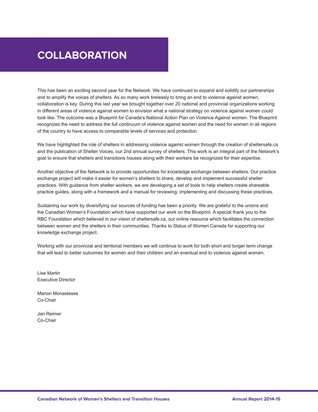# **COLLABORATION**

This has been an exciting second year for the Network. We have continued to expand and solidify our partnerships and to amplify the voices of shelters. As so many work tirelessly to bring an end to violence against women, collaboration is key. During this last year we brought together over 20 national and provincial organizations working in different areas of violence against women to envision what a national strategy on violence against women could look like. The outcome was a Blueprint for Canada's National Action Plan on Violence Against women. The Blueprint recognizes the need to address the full continuum of violence against women and the need for women in all regions of the country to have access to comparable levels of services and protection.

We have highlighted the role of shelters in addressing violence against women through the creation of sheltersafe.ca and the publication of Shelter Voices, our 2nd annual survey of shelters. This work is an integral part of the Network's goal to ensure that shelters and transitions houses along with their workers be recognized for their expertise.

Another objective of the Network is to provide opportunities for knowledge exchange between shelters. Our practice exchange project will make it easier for women's shelters to share, develop and implement successful shelter practices. With guidance from shelter workers, we are developing a set of tools to help shelters create shareable practice guides, along with a framework and a manual for reviewing, implementing and discussing these practices.

Sustaining our work by diversifying our sources of funding has been a priority. We are grateful to the unions and the Canadian Women's Foundation which have supported our work on the Blueprint. A special thank you to the RBC Foundation which believed in our vision of sheltersafe.ca, our online resource which facilitates the connection between women and the shelters in their communities. Thanks to Status of Women Canada for supporting our knowledge exchange project.

Working with our provincial and territorial members we will continue to work for both short and longer term change that will lead to better outcomes for women and their children and an eventual end to violence against women.

Lise Martin Executive Director

Manon Monastesse Co-Chair

Jan Reimer Co-Chair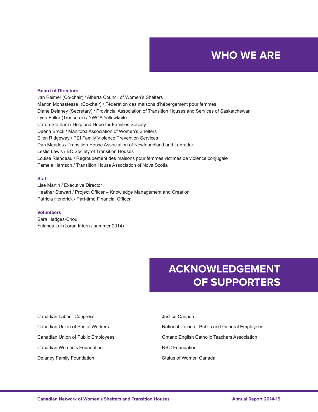# **WHO WE ARE**

#### **Board of Directors**

Jan Reimer (Co-chair) / Alberta Council of Women's Shelters Manon Monastesse (Co-chair) / Fédération des maisons d'hébergement pour femmes Diane Delaney (Secretary) / Provincial Association of Transition Houses and Services of Saskatchewan Lyda Fuller (Treasurer) / YWCA Yellowknife Caron Statham / Help and Hope for Families Society Deena Brock / Manitoba Association of Women's Shelters Ellen Ridgeway / PEI Family Violence Prevention Services Dan Meades / Transition House Association of Newfoundland and Labrador Leslie Lewis / BC Society of Transition Houses Louise Riendeau / Regroupement des maisons pour femmes victimes de violence conjugale Pamela Harrison / Transition House Association of Nova Scotia

#### **Staff**

Lise Martin / Executive Director Heather Stewart / Project Officer – Knowledge Management and Creation Patricia Hendrick / Part-time Financial Officer

#### **Volunteers**

Sara Hedges-Chou Yulanda Lui (Loran Intern / summer 2014)

# **ACKNOWLEDGEMENT OF SUPPORTERS**

| Canadian Labour Congress           | Justice Canada                                       |
|------------------------------------|------------------------------------------------------|
| Canadian Union of Postal Workers   | National Union of Public and General Employees       |
| Canadian Union of Public Employees | <b>Ontario English Catholic Teachers Association</b> |
| Canadian Women's Foundation        | <b>RBC Foundation</b>                                |
| Delaney Family Foundation          | Status of Women Canada                               |